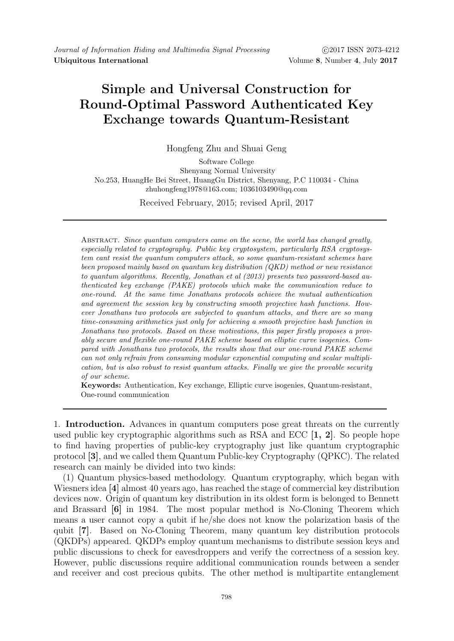# Simple and Universal Construction for Round-Optimal Password Authenticated Key Exchange towards Quantum-Resistant

Hongfeng Zhu and Shuai Geng

Software College Shenyang Normal University No.253, HuangHe Bei Street, HuangGu District, Shenyang, P.C 110034 - China zhuhongfeng1978@163.com; 1036103490@qq.com

Received February, 2015; revised April, 2017

ABSTRACT. Since quantum computers came on the scene, the world has changed greatly, especially related to cryptography. Public key cryptosystem, particularly RSA cryptosystem cant resist the quantum computers attack, so some quantum-resistant schemes have been proposed mainly based on quantum key distribution (QKD) method or new resistance to quantum algorithms. Recently, Jonathan et al (2013) presents two password-based authenticated key exchange (PAKE) protocols which make the communication reduce to one-round. At the same time Jonathans protocols achieve the mutual authentication and agreement the session key by constructing smooth projective hash functions. However Jonathans two protocols are subjected to quantum attacks, and there are so many time-consuming arithmetics just only for achieving a smooth projective hash function in Jonathans two protocols. Based on these motivations, this paper firstly proposes a provably secure and flexible one-round PAKE scheme based on elliptic curve isogenies. Compared with Jonathans two protocols, the results show that our one-round PAKE scheme can not only refrain from consuming modular exponential computing and scalar multiplication, but is also robust to resist quantum attacks. Finally we give the provable security of our scheme.

Keywords: Authentication, Key exchange, Elliptic curve isogenies, Quantum-resistant, One-round communication

1. Introduction. Advances in quantum computers pose great threats on the currently used public key cryptographic algorithms such as RSA and ECC  $[1, 2]$ . So people hope to find having properties of public-key cryptography just like quantum cryptographic protocol [3], and we called them Quantum Public-key Cryptography (QPKC). The related research can mainly be divided into two kinds:

(1) Quantum physics-based methodology. Quantum cryptography, which began with Wiesners idea [4] almost 40 years ago, has reached the stage of commercial key distribution devices now. Origin of quantum key distribution in its oldest form is belonged to Bennett and Brassard [6] in 1984. The most popular method is No-Cloning Theorem which means a user cannot copy a qubit if he/she does not know the polarization basis of the qubit [7]. Based on No-Cloning Theorem, many quantum key distribution protocols (QKDPs) appeared. QKDPs employ quantum mechanisms to distribute session keys and public discussions to check for eavesdroppers and verify the correctness of a session key. However, public discussions require additional communication rounds between a sender and receiver and cost precious qubits. The other method is multipartite entanglement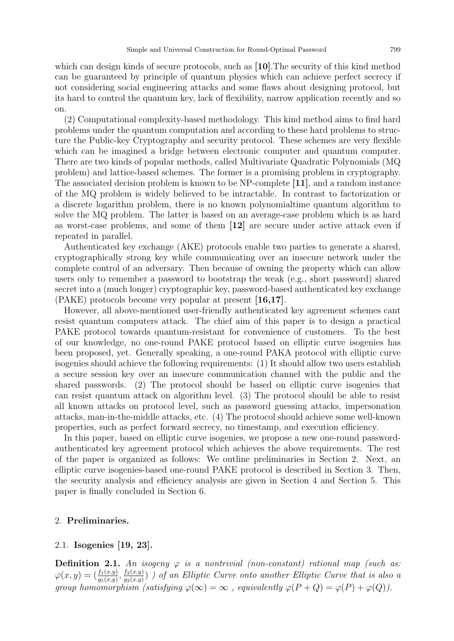which can design kinds of secure protocols, such as [10]. The security of this kind method can be guaranteed by principle of quantum physics which can achieve perfect secrecy if not considering social engineering attacks and some flaws about designing protocol, but its hard to control the quantum key, lack of flexibility, narrow application recently and so on.

(2) Computational complexity-based methodology. This kind method aims to find hard problems under the quantum computation and according to these hard problems to structure the Public-key Cryptography and security protocol. These schemes are very flexible which can be imagined a bridge between electronic computer and quantum computer. There are two kinds of popular methods, called Multivariate Quadratic Polynomials (MQ problem) and lattice-based schemes. The former is a promising problem in cryptography. The associated decision problem is known to be NP-complete [11], and a random instance of the MQ problem is widely believed to be intractable. In contrast to factorization or a discrete logarithm problem, there is no known polynomialtime quantum algorithm to solve the MQ problem. The latter is based on an average-case problem which is as hard as worst-case problems, and some of them [12] are secure under active attack even if repeated in parallel.

Authenticated key exchange (AKE) protocols enable two parties to generate a shared, cryptographically strong key while communicating over an insecure network under the complete control of an adversary. Then because of owning the property which can allow users only to remember a password to bootstrap the weak (e.g., short password) shared secret into a (much longer) cryptographic key, password-based authenticated key exchange (PAKE) protocols become very popular at present [16,17].

However, all above-mentioned user-friendly authenticated key agreement schemes cant resist quantum computers attack. The chief aim of this paper is to design a practical PAKE protocol towards quantum-resistant for convenience of customers. To the best of our knowledge, no one-round PAKE protocol based on elliptic curve isogenies has been proposed, yet. Generally speaking, a one-round PAKA protocol with elliptic curve isogenies should achieve the following requirements: (1) It should allow two users establish a secure session key over an insecure communication channel with the public and the shared passwords. (2) The protocol should be based on elliptic curve isogenies that can resist quantum attack on algorithm level. (3) The protocol should be able to resist all known attacks on protocol level, such as password guessing attacks, impersonation attacks, man-in-the-middle attacks, etc. (4) The protocol should achieve some well-known properties, such as perfect forward secrecy, no timestamp, and execution efficiency.

In this paper, based on elliptic curve isogenies, we propose a new one-round passwordauthenticated key agreement protocol which achieves the above requirements. The rest of the paper is organized as follows: We outline preliminaries in Section 2. Next, an elliptic curve isogenies-based one-round PAKE protocol is described in Section 3. Then, the security analysis and efficiency analysis are given in Section 4 and Section 5. This paper is finally concluded in Section 6.

# 2. Preliminaries.

## 2.1. Isogenies [19, 23].

**Definition 2.1.** An isogeny  $\varphi$  is a nontrivial (non-constant) rational map (such as:  $\varphi(x,y) = (\frac{f_1(x,y)}{g_1(x,y)}, \frac{f_2(x,y)}{g_2(x,y)}$  $\frac{f_2(x,y)}{g_2(x,y)}$ ) ) of an Elliptic Curve onto another Elliptic Curve that is also a group homomorphism (satisfying  $\varphi(\infty) = \infty$ , equivalently  $\varphi(P+Q) = \varphi(P) + \varphi(Q)$ ).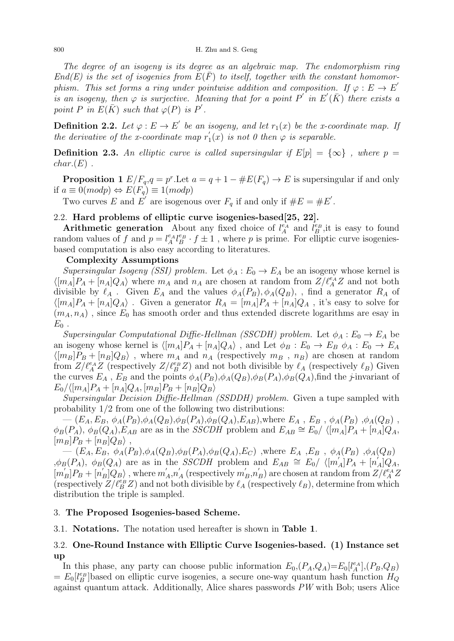The degree of an isogeny is its degree as an algebraic map. The endomorphism ring  $End(E)$  is the set of isogenies from  $E(F)$  to itself, together with the constant homomorphism. This set forms a ring under pointwise addition and composition. If  $\varphi : E \to E'$ is an isogeny, then  $\varphi$  is surjective. Meaning that for a point P' in E'( $\overline{K}$ ) there exists a point P in  $E(\bar{K})$  such that  $\varphi(P)$  is P'.

**Definition 2.2.** Let  $\varphi : E \to E'$  be an isogeny, and let  $r_1(x)$  be the x-coordinate map. If the derivative of the x-coordinate map  $r_1$  $\mathcal{L}_1(x)$  is not 0 then  $\varphi$  is separable.

**Definition 2.3.** An elliptic curve is called supersingular if  $E[p] = {\infty}$ , where  $p =$  $char(E)$ .

**Proposition 1**  $E/F_q, q = p^r$ . Let  $a = q + 1 - \#E(F_q) \to E$  is supersingular if and only if  $a \equiv 0 \pmod{p} \Leftrightarrow E(F_q) \equiv 1 \pmod{p}$ 

Two curves E and  $E'$  are isogenous over  $F_q$  if and only if  $\#E = \#E'$ .

# 2.2. Hard problems of elliptic curve isogenies-based[25, 22].

Arithmetic generation About any fixed choice of  $l_A^{\epsilon_A}$  and  $l_B^{\epsilon_B}$ , it is easy to found random values of f and  $p = l_A^{e_A} l_B^{e_B} \cdot f \pm 1$ , where p is prime. For elliptic curve isogeniesbased computation is also easy according to literatures.

#### Complexity Assumptions

Supersingular Isogeny (SSI) problem. Let  $\phi_A : E_0 \to E_A$  be an isogeny whose kernel is  $\langle [m_A]P_A + [n_A]Q_A \rangle$  where  $m_A$  and  $n_A$  are chosen at random from  $Z/\ell_A^{e_A}Z$  and not both divisible by  $\ell_A$ . Given  $E_A$  and the values  $\phi_A(P_B), \phi_A(Q_B)$ , , find a generator  $R_A$  of  $\langle [m_A]P_A + [n_A]Q_A \rangle$ . Given a generator  $R_A = [m_A]P_A + [n_A]Q_A$ , it's easy to solve for  $(m_A, n_A)$ , since  $E_0$  has smooth order and thus extended discrete logarithms are esay in  $E_0$ .

Supersingular Computational Diffie-Hellman (SSCDH) problem. Let  $\phi_A : E_0 \to E_A$  be an isogeny whose kernel is  $\langle [m_A]P_A + [n_A]Q_A \rangle$ , and Let  $\phi_B : E_0 \to E_B \phi_A : E_0 \to E_A$  $\langle [m_B]P_B + [n_B]Q_B \rangle$ , where  $m_A$  and  $n_A$  (respectively  $m_B$ ,  $n_B$ ) are chosen at random from  $Z/\ell_A^{\epsilon A}Z$  (respectively  $Z/\ell_B^{\epsilon B}Z$ ) and not both divisible by  $\ell_A$  (respectively  $\ell_B$ ) Given the curves  $E_A$ ,  $E_B$  and the points  $\phi_A(P_B), \phi_A(Q_B), \phi_B(P_A), \phi_B(Q_A),$  find the *j*-invariant of  $E_0/\langle[m_A]P_A + [n_A]Q_A, [m_B]P_B + [n_B]Q_B\rangle$ 

Supersingular Decision Diffie-Hellman (SSDDH) problem. Given a tupe sampled with probability 1/2 from one of the following two distributions:

 $(E_A, E_B, \phi_A(P_B), \phi_A(Q_B), \phi_B(P_A), \phi_B(Q_A), E_{AB})$ , where  $E_A$ ,  $E_B$ ,  $\phi_A(P_B)$ ,  $\phi_A(Q_B)$ ,  $\phi_B(P_A)$ ,  $\phi_B(Q_A)$ ,  $E_{AB}$  are as in the *SSCDH* problem and  $E_{AB} \cong E_0 / \langle [m_A]P_A + [n_A]Q_A$ ,  $[m_B]P_B + [n_B]Q_B\rangle$ ,

 $(E_A, E_B, \phi_A(P_B), \phi_A(Q_B), \phi_B(P_A), \phi_B(Q_A), E_C)$  , where  $E_A$  ,  $E_B$  ,  $\phi_A(P_B)$  ,  $\phi_A(Q_B)$  $\phi_B(P_A)$ ,  $\phi_B(Q_A)$  are as in the SSCDH problem and  $E_{AB} \cong E_0 / \langle [m'_A]P_A + [n'_A]Q_A$  $[m'_B]P_B+[n'_B]Q_B\rangle$ , where  $m'_A,n'_A$  (respectively  $m'_B,n'_B$ ) are chosen at random from  $Z/\ell_A^{\epsilon_A}Z$ (respectively  $Z/\ell_B^{\epsilon_B}Z$ ) and not both divisible by  $\ell_A$  (respectively  $\ell_B$ ), determine from which distribution the triple is sampled.

#### 3. The Proposed Isogenies-based Scheme.

3.1. Notations. The notation used hereafter is shown in Table 1.

# 3.2. One-Round Instance with Elliptic Curve Isogenies-based. (1) Instance set up

In this phase, any party can choose public information  $E_0$ ,  $(P_A, Q_A) = E_0[l_A^{e_A}], (P_B, Q_B)$  $= E_0[l_B^{e_B}]$ based on elliptic curve isogenies, a secure one-way quantum hash function  $H_Q$ against quantum attack. Additionally, Alice shares passwords PW with Bob; users Alice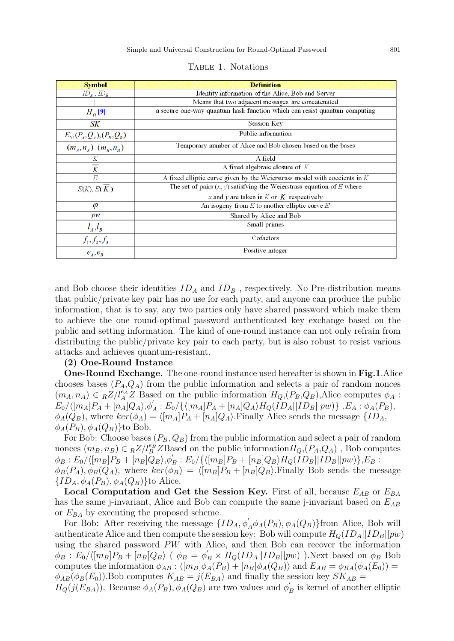| <b>Symbol</b>                 | <b>Definition</b>                                                           |  |  |  |  |
|-------------------------------|-----------------------------------------------------------------------------|--|--|--|--|
| $ID_A$ , $ID_B$               | Identity information of the Alice, Bob and Server                           |  |  |  |  |
|                               | Means that two adjacent messages are concatenated                           |  |  |  |  |
| $H_o$ [9]                     | a secure one-way quantum hash function which can resist quantum computing   |  |  |  |  |
| SK                            | Session Key                                                                 |  |  |  |  |
| $E_0, (P_A, Q_A), (P_B, Q_B)$ | Public information                                                          |  |  |  |  |
| $(m_A, n_A)$ $(m_B, n_B)$     | Temporary number of Alice and Bob chosen based on the bases                 |  |  |  |  |
| K                             | A field                                                                     |  |  |  |  |
| $\overline{K}$                | A fixed algebraic closure of $K$                                            |  |  |  |  |
| E                             | A fixed elliptic curve given by the Weierstrass model with coecients in $K$ |  |  |  |  |
| E(K), E(K)                    | The set of pairs $(x, y)$ satisfying the Weierstrass equation of E where    |  |  |  |  |
|                               | x and y are taken in $K$ or $K$ respectively                                |  |  |  |  |
| $\varphi$                     | An isogeny from $E$ to another elliptic curve $E'$                          |  |  |  |  |
| pw                            | Shared by Alice and Bob                                                     |  |  |  |  |
| $l_A, l_B$                    | Small primes                                                                |  |  |  |  |
| $f_1, f_2, f_3$               | Cofactors                                                                   |  |  |  |  |
| $e_{A}$ , $e_{B}$             | Positive integer                                                            |  |  |  |  |

and Bob choose their identities  $ID_A$  and  $ID_B$ , respectively. No Pre-distribution means that public/private key pair has no use for each party, and anyone can produce the public information, that is to say, any two parties only have shared password which make them to achieve the one round-optimal password authenticated key exchange based on the public and setting information. The kind of one-round instance can not only refrain from distributing the public/private key pair to each party, but is also robust to resist various attacks and achieves quantum-resistant.

#### (2) One-Round Instance

One-Round Exchange. The one-round instance used hereafter is shown in Fig.1.Alice chooses bases  $(P_A,Q_A)$  from the public information and selects a pair of random nonces  $(m_A, n_A) \in {}_R Z/l_A^{e_A} Z$  Based on the public information  $H_Q$ ,  $(P_B, Q_B)$ , Alice computes  $\phi_A$ :  $E_0/\langle [m_A]P_A + [n_A]Q_A\rangle, \phi_A' : E_0/\{\langle [m_A]P_A + [n_A]Q_A\rangle H_Q(ID_A || ID_B || pw)\}\,$ , $E_A : \phi_A(P_B),$  $\phi_A(Q_B)$ , where  $ker(\phi_A) = \langle [m_A]P_A + [n_A]Q_A \rangle$ . Finally Alice sends the message  $\{ID_A,$  $\phi_A(P_B), \phi_A(Q_B)$ }to Bob.

For Bob: Choose bases  $(P_B, Q_B)$  from the public information and select a pair of random nonces  $(m_B, n_B) \in {}_R\mathbb{Z}/l_B^{e_B}\mathbb{Z}$ Based on the public information $H_Q$ , $(P_A, Q_A)$ , Bob computes  $\phi_B:E_0/\langle [m_B]P_B+[n_B]\bar{Q}_B\rangle, \phi_B^{'}:E_0/\{\langle [m_B]P_B+[n_B]Q_B\rangle H_Q(ID_B || ID_B || pw)\}, E_B:$  $\phi_B(P_A), \phi_B(Q_A)$ , where  $ker(\phi_B) = \langle [m_B]P_B + [n_B]Q_B \rangle$ . Finally Bob sends the message  $\{ID_A, \phi_A(P_B), \phi_A(Q_B)\}\$ to Alice.

Local Computation and Get the Session Key. First of all, because  $E_{AB}$  or  $E_{BA}$ has the same j-invariant, Alice and Bob can compute the same j-invariant based on  $E_{AB}$ or  $E_{BA}$  by executing the proposed scheme.

For Bob: After receiving the message  $\{ID_A, \phi'_A\phi_A(P_B), \phi_A(Q_B)\}$ from Alice, Bob will authenticate Alice and then compute the session key: Bob will compute  $H_Q(ID_A||ID_B||pw)$ using the shared password PW with Alice, and then Bob can recover the information  $\phi_B : E_0 / \langle [m_B]P_B + [n_B]Q_B \rangle$  (  $\phi_B = \phi'_B \times H_Q(ID_A || ID_B || pw)$  ). Next based on  $\phi_B$  Bob computes the information  $\phi_{AB}$ :  $\langle [m_B]\phi_A(P_B) + [n_B]\phi_A(Q_B)\rangle$  and  $E_{AB} = \phi_{BA}(\phi_A(E_0)) =$  $\phi_{AB}(\phi_B(E_0))$ . Bob computes  $K_{AB} = j(E_{BA})$  and finally the session key  $SK_{AB} = j(E_{BA})$  $H_Q(j(E_{BA}))$ . Because  $\phi_A(P_B), \phi_A(Q_B)$  are two values and  $\phi'_B$  is kernel of another elliptic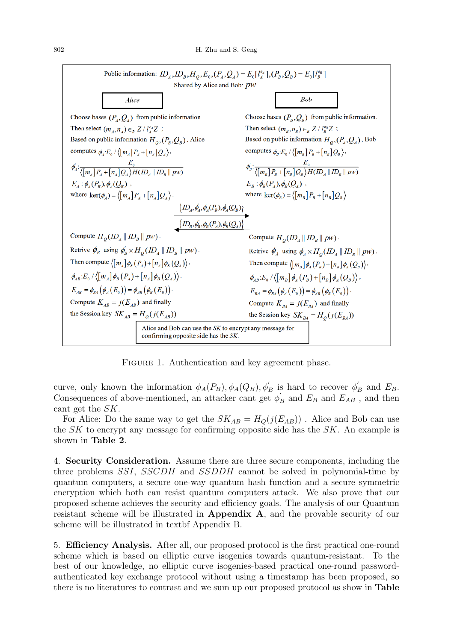

FIGURE 1. Authentication and key agreement phase.

curve, only known the information  $\phi_A(P_B), \phi_A(Q_B), \phi'_B$  is hard to recover  $\phi'_B$  and  $E_B$ . Consequences of above-mentioned, an attacker cant get  $\phi'_B$  and  $E_B$  and  $E_{AB}$ , and then cant get the SK.

For Alice: Do the same way to get the  $SK_{AB} = H_Q(j(E_{AB}))$ . Alice and Bob can use the  $SK$  to encrypt any message for confirming opposite side has the  $SK$ . An example is shown in Table 2.

4. Security Consideration. Assume there are three secure components, including the three problems SSI, SSCDH and SSDDH cannot be solved in polynomial-time by quantum computers, a secure one-way quantum hash function and a secure symmetric encryption which both can resist quantum computers attack. We also prove that our proposed scheme achieves the security and efficiency goals. The analysis of our Quantum resistant scheme will be illustrated in Appendix A, and the provable security of our scheme will be illustrated in textbf Appendix B.

5. Efficiency Analysis. After all, our proposed protocol is the first practical one-round scheme which is based on elliptic curve isogenies towards quantum-resistant. To the best of our knowledge, no elliptic curve isogenies-based practical one-round passwordauthenticated key exchange protocol without using a timestamp has been proposed, so there is no literatures to contrast and we sum up our proposed protocol as show in Table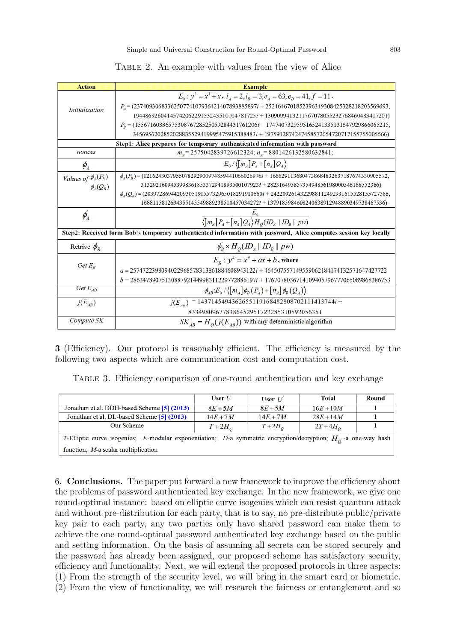|  | TABLE 2. An example with values from the view of Alice |  |  |  |  |  |  |  |  |  |
|--|--------------------------------------------------------|--|--|--|--|--|--|--|--|--|
|--|--------------------------------------------------------|--|--|--|--|--|--|--|--|--|

| <b>Action</b>                                                                                                    | <b>Example</b>                                                                                             |  |  |
|------------------------------------------------------------------------------------------------------------------|------------------------------------------------------------------------------------------------------------|--|--|
|                                                                                                                  | $E_0$ : $y^2 = x^3 + x$ , $l_A = 2$ , $l_B = 3$ , $e_A = 63$ , $e_B = 41$ , $f = 11$ .                     |  |  |
| <i>Initialization</i>                                                                                            | $P_4 = (2374093068336250774107936421407893885897i + 2524646701852396349308425328218203569693,$             |  |  |
|                                                                                                                  | 1944869260414574206229153243510104781725i + 1309099413211767078055232768460483417201)                      |  |  |
|                                                                                                                  | $P_B = (1556716033657530876728525059284431761206i + 1747407329595165241335131647929866065215,$             |  |  |
|                                                                                                                  | 3456956202852028835529419995475915388483i + 1975912874247458572654720717155755005566)                      |  |  |
|                                                                                                                  | Step1: Alice prepares for temporary authenticated information with password                                |  |  |
| nonces                                                                                                           | $m_A$ = 2575042839726612324; $n_A$ = 8801426132580632841;                                                  |  |  |
| $\phi_{A}$                                                                                                       | $E_0 / \langle [m_A] P_A + [n_A] Q_A \rangle$                                                              |  |  |
| Values of $\phi_A(P_B)$                                                                                          | $\phi_{A}(P_{n}) = (1216243037955078292900974859441066026976i + 1666291136804738684832637187674330905572,$ |  |  |
| $\phi_{\mu}(Q_{R})$                                                                                              | 3132921609453998361853372941893500107923i + 28231649385735494856198000346168552366)                        |  |  |
|                                                                                                                  | $\phi_{A}(Q_{B}) = (2039728694420930519155732965018291910660i + 2422092614322988112492931615528155727388,$ |  |  |
|                                                                                                                  | 1688115812694355145549889238510457034272i + 1379185984608240638912948890349738467536)                      |  |  |
| $\phi_{A}^{'}$                                                                                                   |                                                                                                            |  |  |
|                                                                                                                  | $\sqrt{\left[m_A\right]P_A + \left[n_A\right]Q_A\right)H_O(D_A \parallel ID_B \parallel pw)}$              |  |  |
| Step2: Received form Bob's temporary authenticated information with password, Alice computes session key locally |                                                                                                            |  |  |
| Retrive $\phi_{B}$                                                                                               | $\phi_{B} \times H_{O}(ID_{A}    ID_{B}    pw)$                                                            |  |  |
| Get $E_R$                                                                                                        | $E_p$ : $y^2 = x^3 + ax + b$ , where                                                                       |  |  |
|                                                                                                                  | $a = 2574722398094022968578313861884608943122i + 464507557149559062184174132571647427722$                  |  |  |
|                                                                                                                  | $b = 2863478907513088792144998311229772886197i + 1767078036714109405796777065089868386753$                 |  |  |
| Get $E_{AB}$                                                                                                     | $\phi_{AB}$ : $E_0 / \langle [m_A] \phi_B(P_A) + [n_A] \phi_B(Q_A) \rangle$                                |  |  |
| $j(E_{AB})$                                                                                                      | $j(E_{AB})$ = 1437145494362655119168482808702111413744i +                                                  |  |  |
|                                                                                                                  | 833498096778386452951722285310592056351                                                                    |  |  |
| Compute SK                                                                                                       | $SK_{AB} = H_o(j(E_{AB}))$ with any deterministic algorithm                                                |  |  |

3 (Efficiency). Our protocol is reasonably efficient. The efficiency is measured by the following two aspects which are communication cost and computation cost.

Table 3. Efficiency comparison of one-round authentication and key exchange

|                                                                                                                  | User $U$ | User $U$ | Total       | Round |  |
|------------------------------------------------------------------------------------------------------------------|----------|----------|-------------|-------|--|
| Jonathan et al. DDH-based Scheme [5] (2013)                                                                      | $8E+5M$  | $8E+5M$  | $16E + 10M$ |       |  |
| Jonathan et al. DL-based Scheme [5] (2013)                                                                       | $14E+7M$ | $14E+7M$ | $28E + 14M$ |       |  |
| Our Scheme                                                                                                       | $T+2H_o$ | $T+2H_o$ | $2T+4H_o$   |       |  |
| T-Elliptic curve isogenies; E-modular exponentiation; D-a symmetric encryption/decryption; $H_0$ -a one-way hash |          |          |             |       |  |
| function; $M$ -a scalar multiplication                                                                           |          |          |             |       |  |

6. Conclusions. The paper put forward a new framework to improve the efficiency about the problems of password authenticated key exchange. In the new framework, we give one round-optimal instance: based on elliptic curve isogenies which can resist quantum attack and without pre-distribution for each party, that is to say, no pre-distribute public/private key pair to each party, any two parties only have shared password can make them to achieve the one round-optimal password authenticated key exchange based on the public and setting information. On the basis of assuming all secrets can be stored securely and the password has already been assigned, our proposed scheme has satisfactory security, efficiency and functionality. Next, we will extend the proposed protocols in three aspects: (1) From the strength of the security level, we will bring in the smart card or biometric. (2) From the view of functionality, we will research the fairness or entanglement and so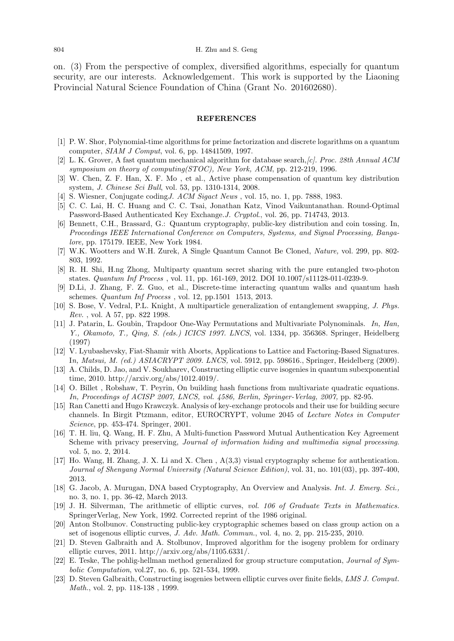on. (3) From the perspective of complex, diversified algorithms, especially for quantum security, are our interests. Acknowledgement. This work is supported by the Liaoning Provincial Natural Science Foundation of China (Grant No. 201602680).

#### REFERENCES

- [1] P. W. Shor, Polynomial-time algorithms for prime factorization and discrete logarithms on a quantum computer, SIAM J Comput, vol. 6, pp. 14841509, 1997.
- [2] L. K. Grover, A fast quantum mechanical algorithm for database search,[c]. Proc. 28th Annual ACM symposium on theory of computing(STOC), New York, ACM, pp. 212-219, 1996.
- [3] W. Chen, Z. F. Han, X. F. Mo , et al., Active phase compensation of quantum key distribution system, J. Chinese Sci Bull, vol. 53, pp. 1310-1314, 2008.
- S. Wiesner, Conjugate coding J. ACM Sigact News , vol. 15, no. 1, pp. 7888, 1983.
- [5] C. C. Lai, H. C. Huang and C. C. Tsai, Jonathan Katz, Vinod Vaikuntanathan. Round-Optimal Password-Based Authenticated Key Exchange.J. Cryptol., vol. 26, pp. 714743, 2013.
- [6] Bennett, C.H., Brassard, G.: Quantum cryptography, public-key distribution and coin tossing. In, Proceedings IEEE International Conference on Computers, Systems, and Signal Processing, Bangalore, pp. 175179. IEEE, New York 1984.
- [7] W.K. Wootters and W.H. Zurek, A Single Quantum Cannot Be Cloned, Nature, vol. 299, pp. 802- 803, 1992.
- [8] R. H. Shi, H.ng Zhong, Multiparty quantum secret sharing with the pure entangled two-photon states. Quantum Inf Process , vol. 11, pp. 161-169, 2012. DOI 10.1007/s11128-011-0239-9.
- [9] D.Li, J. Zhang, F. Z. Guo, et al., Discrete-time interacting quantum walks and quantum hash schemes. Quantum Inf Process , vol. 12, pp.1501 1513, 2013.
- [10] S. Bose, V. Vedral, P.L. Knight, A multiparticle generalization of entanglement swapping, J. Phys. Rev. , vol. A 57, pp. 822 1998.
- [11] J. Patarin, L. Goubin, Trapdoor One-Way Permutations and Multivariate Polynominals. In, Han, Y., Okamoto, T., Qing, S. (eds.) ICICS 1997. LNCS, vol. 1334, pp. 356368. Springer, Heidelberg (1997)
- [12] V. Lyubashevsky, Fiat-Shamir with Aborts, Applications to Lattice and Factoring-Based Signatures. In, Matsui, M. (ed.) ASIACRYPT 2009. LNCS, vol. 5912, pp. 598616., Springer, Heidelberg (2009).
- [13] A. Childs, D. Jao, and V. Soukharev, Constructing elliptic curve isogenies in quantum subexponential time, 2010. http://arxiv.org/abs/1012.4019/.
- [14] O. Billet , Robshaw, T. Peyrin, On building hash functions from multivariate quadratic equations. In, Proceedings of ACISP 2007, LNCS, vol. 4586, Berlin, Springer-Verlag, 2007, pp. 82-95.
- [15] Ran Canetti and Hugo Krawczyk. Analysis of key-exchange protocols and their use for building secure channels. In Birgit Ptzmann, editor, EUROCRYPT, volume 2045 of Lecture Notes in Computer Science, pp. 453-474. Springer, 2001.
- [16] T. H. liu, Q. Wang, H. F. Zhu, A Multi-function Password Mutual Authentication Key Agreement Scheme with privacy preserving, Journal of information hiding and multimedia signal processing. vol. 5, no. 2, 2014.
- [17] Ho. Wang, H. Zhang, J. X. Li and X. Chen , A(3,3) visual cryptography scheme for authentication. Journal of Shenyang Normal University (Natural Science Edition), vol. 31, no. 101(03), pp. 397-400, 2013.
- [18] G. Jacob, A. Murugan, DNA based Cryptography, An Overview and Analysis. Int. J. Emerg. Sci., no. 3, no. 1, pp. 36-42, March 2013.
- [19] J. H. Silverman, The arithmetic of elliptic curves, vol. 106 of Graduate Texts in Mathematics. SpringerVerlag, New York, 1992. Corrected reprint of the 1986 original.
- [20] Anton Stolbunov. Constructing public-key cryptographic schemes based on class group action on a set of isogenous elliptic curves, J. Adv. Math. Commun., vol. 4, no. 2, pp. 215-235, 2010.
- [21] D. Steven Galbraith and A. Stolbunov, Improved algorithm for the isogeny problem for ordinary elliptic curves, 2011. http://arxiv.org/abs/1105.6331/.
- [22] E. Teske, The pohlig-hellman method generalized for group structure computation, Journal of Symbolic Computation, vol.27, no. 6, pp. 521-534, 1999.
- [23] D. Steven Galbraith, Constructing isogenies between elliptic curves over finite fields, LMS J. Comput. Math., vol. 2, pp. 118-138 , 1999.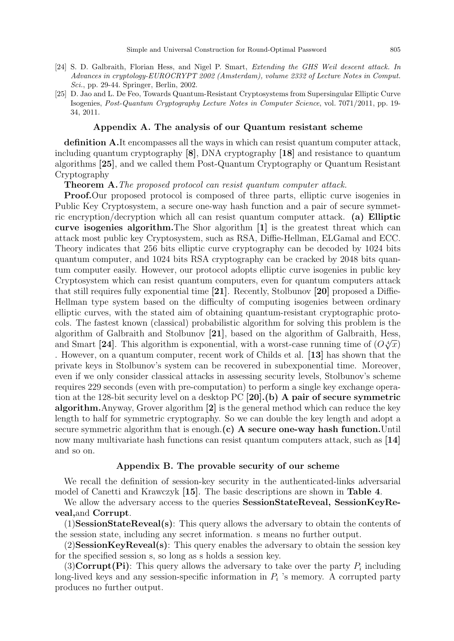- [24] S. D. Galbraith, Florian Hess, and Nigel P. Smart, Extending the GHS Weil descent attack. In Advances in cryptology-EUROCRYPT 2002 (Amsterdam), volume 2332 of Lecture Notes in Comput. Sci., pp. 29-44. Springer, Berlin, 2002.
- [25] D. Jao and L. De Feo, Towards Quantum-Resistant Cryptosystems from Supersingular Elliptic Curve Isogenies, Post-Quantum Cryptography Lecture Notes in Computer Science, vol. 7071/2011, pp. 19- 34, 2011.

#### Appendix A. The analysis of our Quantum resistant scheme

definition A.It encompasses all the ways in which can resist quantum computer attack, including quantum cryptography [8], DNA cryptography [18] and resistance to quantum algorithms [25], and we called them Post-Quantum Cryptography or Quantum Resistant Cryptography

Theorem A.The proposed protocol can resist quantum computer attack.

Proof.Our proposed protocol is composed of three parts, elliptic curve isogenies in Public Key Cryptosystem, a secure one-way hash function and a pair of secure symmetric encryption/decryption which all can resist quantum computer attack. (a) Elliptic curve isogenies algorithm.The Shor algorithm [1] is the greatest threat which can attack most public key Cryptosystem, such as RSA, Diffie-Hellman, ELGamal and ECC. Theory indicates that 256 bits elliptic curve cryptography can be decoded by 1024 bits quantum computer, and 1024 bits RSA cryptography can be cracked by 2048 bits quantum computer easily. However, our protocol adopts elliptic curve isogenies in public key Cryptosystem which can resist quantum computers, even for quantum computers attack that still requires fully exponential time [21]. Recently, Stolbunov [20] proposed a Diffie-Hellman type system based on the difficulty of computing isogenies between ordinary elliptic curves, with the stated aim of obtaining quantum-resistant cryptographic protocols. The fastest known (classical) probabilistic algorithm for solving this problem is the algorithm of Galbraith and Stolbunov [21], based on the algorithm of Galbraith, Hess, and Smart [24]. This algorithm is exponential, with a worst-case running time of  $(O\sqrt[4]{x})$ . However, on a quantum computer, recent work of Childs et al. [13] has shown that the private keys in Stolbunov's system can be recovered in subexponential time. Moreover, even if we only consider classical attacks in assessing security levels, Stolbunov's scheme requires 229 seconds (even with pre-computation) to perform a single key exchange operation at the 128-bit security level on a desktop PC [20].(b) A pair of secure symmetric algorithm.Anyway, Grover algorithm [2] is the general method which can reduce the key length to half for symmetric cryptography. So we can double the key length and adopt a secure symmetric algorithm that is enough. $(c)$  A secure one-way hash function. Until now many multivariate hash functions can resist quantum computers attack, such as [14] and so on.

## Appendix B. The provable security of our scheme

We recall the definition of session-key security in the authenticated-links adversarial model of Canetti and Krawczyk [15]. The basic descriptions are shown in Table 4.

We allow the adversary access to the queries SessionStateReveal, SessionKeyReveal,and Corrupt.

(1)SessionStateReveal(s): This query allows the adversary to obtain the contents of the session state, including any secret information. s means no further output.

 $(2)$ SessionKeyReveal(s): This query enables the adversary to obtain the session key for the specified session s, so long as s holds a session key.

 $(3)$ **Corrupt(Pi)**: This query allows the adversary to take over the party  $P_i$  including long-lived keys and any session-specific information in  $P_i$  's memory. A corrupted party produces no further output.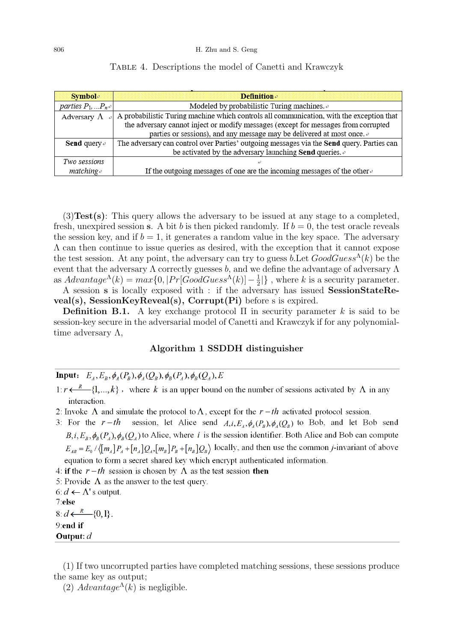| <b>Symbol</b> <sup>®</sup> | <b>Definition</b>                                                                         |
|----------------------------|-------------------------------------------------------------------------------------------|
| parties $P_1,  P_{n+1}$    | Modeled by probabilistic Turing machines. $\phi$                                          |
| Adversary $\Lambda$        | A probabilistic Turing machine which controls all communication, with the exception that  |
|                            | the adversary cannot inject or modify messages (except for messages from corrupted        |
|                            | parties or sessions), and any message may be delivered at most once.                      |
| <b>Send</b> query $\phi$   | The adversary can control over Parties' outgoing messages via the Send query. Parties can |
|                            | be activated by the adversary launching Send queries. $\phi$                              |
| Two sessions               |                                                                                           |
| $matching \rightarrow$     | If the outgoing messages of one are the incoming messages of the other $\phi$             |

## Table 4. Descriptions the model of Canetti and Krawczyk

(3)Test(s): This query allows the adversary to be issued at any stage to a completed, fresh, unexpired session s. A bit b is then picked randomly. If  $b = 0$ , the test oracle reveals the session key, and if  $b = 1$ , it generates a random value in the key space. The adversary  $\Lambda$  can then continue to issue queries as desired, with the exception that it cannot expose the test session. At any point, the adversary can try to guess b. Let  $GoodGuess^{\Lambda}(k)$  be the event that the adversary  $\Lambda$  correctly guesses b, and we define the advantage of adversary  $\Lambda$ as  $Advantage^{\Lambda}(k) = max\{0, |Pr[GoodGuess^{\Lambda}(k)] - \frac{1}{2}\}$  $\frac{1}{2}$ |}, where k is a security parameter. A session s is locally exposed with : if the adversary has issued SessionStateRe-

veal(s), SessionKeyReveal(s), Corrupt(Pi) before s is expired.

Definition B.1. A key exchange protocol  $\Pi$  in security parameter k is said to be session-key secure in the adversarial model of Canetti and Krawczyk if for any polynomialtime adversary  $\Lambda$ ,

# Algorithm 1 SSDDH distinguisher

**Input:**  $E_4, E_8, \phi_4(P_{\rm B}), \phi_4(Q_{\rm B}), \phi_{\rm B}(P_4), \phi_{\rm B}(Q_4), E$ 

 $1: r \leftarrow R$  {1,..., k}, where k is an upper bound on the number of sessions activated by  $\Lambda$  in any interaction.

2: Invoke  $\Lambda$  and simulate the protocol to  $\Lambda$ , except for the  $r-th$  activated protocol session.

3: For the  $r-th$  session, let Alice send  $A,i, E_A, \phi_A(P_B), \phi_A(Q_B)$  to Bob, and let Bob send  $B, i, E_B, \phi_B(P_A), \phi_B(Q_A)$  to Alice, where i is the session identifier. Both Alice and Bob can compute  $E_{AB} = E_0 / \langle [m_A] P_A + [n_A] Q_A, [m_B] P_B + [n_B] Q_B \rangle$  locally, and then use the common *j*-invariant of above equation to form a secret shared key which encrypt authenticated information.

4: if the  $r-th$  session is chosen by  $\Lambda$  as the test session then

5: Provide  $\Lambda$  as the answer to the test query.

6:  $d \leftarrow \Lambda$ 's output. 7:else

 $8: d \leftarrow R$  {0,1}. 9:end if Output:  $d$ 

(1) If two uncorrupted parties have completed matching sessions, these sessions produce the same key as output;

(2)  $Advantage^{\Lambda}(k)$  is negligible.